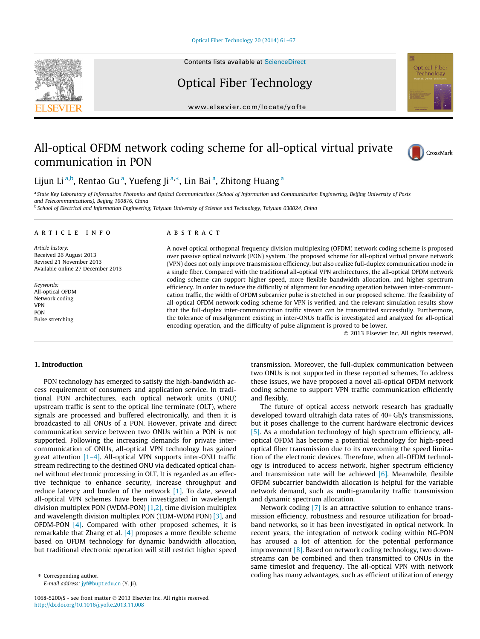[Optical Fiber Technology 20 \(2014\) 61–67](http://dx.doi.org/10.1016/j.yofte.2013.11.008)



Contents lists available at [ScienceDirect](http://www.sciencedirect.com/science/journal/10685200)

# Optical Fiber Technology

[www.elsevier.com/locate/yofte](http://www.elsevier.com/locate/yofte)

# All-optical OFDM network coding scheme for all-optical virtual private communication in PON



Optical Fiber Technology

Lijun Li<sup>a,b</sup>, Rentao Gu<sup>a</sup>, Yuefeng Ji<sup>a,</sup>\*, Lin Bai<sup>a</sup>, Zhitong Huang<sup>a</sup>

a State Key Laboratory of Information Photonics and Optical Communications (School of Information and Communication Engineering, Beijing University of Posts

and Telecommunications), Beijing 100876, China<br><sup>b</sup> School of Electrical and Information Engineering, Taiyuan University of Science and Technology, Taiyuan 030024, China

## article info

Article history: Received 26 August 2013 Revised 21 November 2013 Available online 27 December 2013

Keywords: All-optical OFDM Network coding VPN PON Pulse stretching

# A B S T R A C T

A novel optical orthogonal frequency division multiplexing (OFDM) network coding scheme is proposed over passive optical network (PON) system. The proposed scheme for all-optical virtual private network (VPN) does not only improve transmission efficiency, but also realize full-duplex communication mode in a single fiber. Compared with the traditional all-optical VPN architectures, the all-optical OFDM network coding scheme can support higher speed, more flexible bandwidth allocation, and higher spectrum efficiency. In order to reduce the difficulty of alignment for encoding operation between inter-communication traffic, the width of OFDM subcarrier pulse is stretched in our proposed scheme. The feasibility of all-optical OFDM network coding scheme for VPN is verified, and the relevant simulation results show that the full-duplex inter-communication traffic stream can be transmitted successfully. Furthermore, the tolerance of misalignment existing in inter-ONUs traffic is investigated and analyzed for all-optical encoding operation, and the difficulty of pulse alignment is proved to be lower.

- 2013 Elsevier Inc. All rights reserved.

## 1. Introduction

PON technology has emerged to satisfy the high-bandwidth access requirement of consumers and application service. In traditional PON architectures, each optical network units (ONU) upstream traffic is sent to the optical line terminate (OLT), where signals are processed and buffered electronically, and then it is broadcasted to all ONUs of a PON. However, private and direct communication service between two ONUs within a PON is not supported. Following the increasing demands for private intercommunication of ONUs, all-optical VPN technology has gained great attention [\[1–4\].](#page--1-0) All-optical VPN supports inter-ONU traffic stream redirecting to the destined ONU via dedicated optical channel without electronic processing in OLT. It is regarded as an effective technique to enhance security, increase throughput and reduce latency and burden of the network [\[1\].](#page--1-0) To date, several all-optical VPN schemes have been investigated in wavelength division multiplex PON (WDM-PON) [\[1,2\],](#page--1-0) time division multiplex and wavelength division multiplex PON (TDM-WDM PON) [\[3\]](#page--1-0), and OFDM-PON [\[4\]](#page--1-0). Compared with other proposed schemes, it is remarkable that Zhang et al. [\[4\]](#page--1-0) proposes a more flexible scheme based on OFDM technology for dynamic bandwidth allocation, but traditional electronic operation will still restrict higher speed

E-mail address: [jyf@bupt.edu.cn](mailto:jyf@bupt.edu.cn) (Y. Ji).

transmission. Moreover, the full-duplex communication between two ONUs is not supported in these reported schemes. To address these issues, we have proposed a novel all-optical OFDM network coding scheme to support VPN traffic communication efficiently and flexibly.

The future of optical access network research has gradually developed toward ultrahigh data rates of 40+ Gb/s transmissions, but it poses challenge to the current hardware electronic devices [\[5\]](#page--1-0). As a modulation technology of high spectrum efficiency, alloptical OFDM has become a potential technology for high-speed optical fiber transmission due to its overcoming the speed limitation of the electronic devices. Therefore, when all-OFDM technology is introduced to access network, higher spectrum efficiency and transmission rate will be achieved  $[6]$ . Meanwhile, flexible OFDM subcarrier bandwidth allocation is helpful for the variable network demand, such as multi-granularity traffic transmission and dynamic spectrum allocation.

Network coding [\[7\]](#page--1-0) is an attractive solution to enhance transmission efficiency, robustness and resource utilization for broadband networks, so it has been investigated in optical network. In recent years, the integration of network coding within NG-PON has aroused a lot of attention for the potential performance improvement [\[8\].](#page--1-0) Based on network coding technology, two downstreams can be combined and then transmitted to ONUs in the same timeslot and frequency. The all-optical VPN with network coding has many advantages, such as efficient utilization of energy

<sup>\*</sup> Corresponding author.

<sup>1068-5200/\$ -</sup> see front matter @ 2013 Elsevier Inc. All rights reserved. <http://dx.doi.org/10.1016/j.yofte.2013.11.008>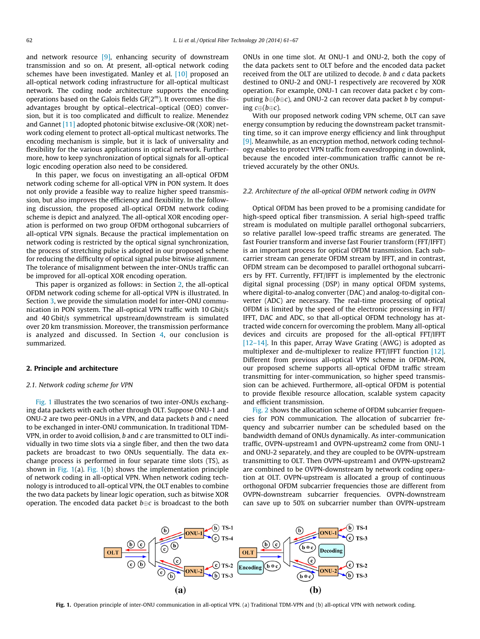and network resource [\[9\]](#page--1-0), enhancing security of downstream transmission and so on. At present, all-optical network coding schemes have been investigated. Manley et al. [\[10\]](#page--1-0) proposed an all-optical network coding infrastructure for all-optical multicast network. The coding node architecture supports the encoding operations based on the Galois fields  $GF(2<sup>m</sup>)$ . It overcomes the disadvantages brought by optical–electrical–optical (OEO) conversion, but it is too complicated and difficult to realize. Menendez and Gannet [\[11\]](#page--1-0) adopted photonic bitwise exclusive-OR (XOR) network coding element to protect all-optical multicast networks. The encoding mechanism is simple, but it is lack of universality and flexibility for the various applications in optical network. Furthermore, how to keep synchronization of optical signals for all-optical logic encoding operation also need to be considered.

In this paper, we focus on investigating an all-optical OFDM network coding scheme for all-optical VPN in PON system. It does not only provide a feasible way to realize higher speed transmission, but also improves the efficiency and flexibility. In the following discussion, the proposed all-optical OFDM network coding scheme is depict and analyzed. The all-optical XOR encoding operation is performed on two group OFDM orthogonal subcarriers of all-optical VPN signals. Because the practical implementation on network coding is restricted by the optical signal synchronization, the process of stretching pulse is adopted in our proposed scheme for reducing the difficulty of optical signal pulse bitwise alignment. The tolerance of misalignment between the inter-ONUs traffic can be improved for all-optical XOR encoding operation.

This paper is organized as follows: in Section 2, the all-optical OFDM network coding scheme for all-optical VPN is illustrated. In Section [3](#page--1-0), we provide the simulation model for inter-ONU communication in PON system. The all-optical VPN traffic with 10 Gbit/s and 40 Gbit/s symmetrical upstream/downstream is simulated over 20 km transmission. Moreover, the transmission performance is analyzed and discussed. In Section [4](#page--1-0), our conclusion is summarized.

## 2. Principle and architecture

#### 2.1. Network coding scheme for VPN

Fig. 1 illustrates the two scenarios of two inter-ONUs exchanging data packets with each other through OLT. Suppose ONU-1 and ONU-2 are two peer-ONUs in a VPN, and data packets b and c need to be exchanged in inter-ONU communication. In traditional TDM-VPN, in order to avoid collision, b and c are transmitted to OLT individually in two time slots via a single fiber, and then the two data packets are broadcast to two ONUs sequentially. The data exchange process is performed in four separate time slots (TS), as shown in Fig. 1(a). Fig. 1(b) shows the implementation principle of network coding in all-optical VPN. When network coding technology is introduced to all-optical VPN, the OLT enables to combine the two data packets by linear logic operation, such as bitwise XOR operation. The encoded data packet  $b {\oplus} c$  is broadcast to the both

ONUs in one time slot. At ONU-1 and ONU-2, both the copy of the data packets sent to OLT before and the encoded data packet received from the OLT are utilized to decode. b and c data packets destined to ONU-2 and ONU-1 respectively are recovered by XOR operation. For example, ONU-1 can recover data packet c by computing  $b \oplus (b \oplus c)$ , and ONU-2 can recover data packet b by computing  $c \oplus (b \oplus c)$ .

With our proposed network coding VPN scheme, OLT can save energy consumption by reducing the downstream packet transmitting time, so it can improve energy efficiency and link throughput [\[9\]](#page--1-0). Meanwhile, as an encryption method, network coding technology enables to protect VPN traffic from eavesdropping in downlink, because the encoded inter-communication traffic cannot be retrieved accurately by the other ONUs.

#### 2.2. Architecture of the all-optical OFDM network coding in OVPN

Optical OFDM has been proved to be a promising candidate for high-speed optical fiber transmission. A serial high-speed traffic stream is modulated on multiple parallel orthogonal subcarriers, so relative parallel low-speed traffic streams are generated. The fast Fourier transform and inverse fast Fourier transform (FFT/IFFT) is an important process for optical OFDM transmission. Each subcarrier stream can generate OFDM stream by IFFT, and in contrast, OFDM stream can be decomposed to parallel orthogonal subcarriers by FFT. Currently, FFT/IFFT is implemented by the electronic digital signal processing (DSP) in many optical OFDM systems, where digital-to-analog converter (DAC) and analog-to-digital converter (ADC) are necessary. The real-time processing of optical OFDM is limited by the speed of the electronic processing in FFT/ IFFT, DAC and ADC, so that all-optical OFDM technology has attracted wide concern for overcoming the problem. Many all-optical devices and circuits are proposed for the all-optical FFT/IFFT [\[12–14\]](#page--1-0). In this paper, Array Wave Grating (AWG) is adopted as multiplexer and de-multiplexer to realize FFT/IFFT function [\[12\].](#page--1-0) Different from previous all-optical VPN scheme in OFDM-PON, our proposed scheme supports all-optical OFDM traffic stream transmitting for inter-communication, so higher speed transmission can be achieved. Furthermore, all-optical OFDM is potential to provide flexible resource allocation, scalable system capacity and efficient transmission.

[Fig. 2](#page--1-0) shows the allocation scheme of OFDM subcarrier frequencies for PON communication. The allocation of subcarrier frequency and subcarrier number can be scheduled based on the bandwidth demand of ONUs dynamically. As inter-communication traffic, OVPN-upstream1 and OVPN-upstream2 come from ONU-1 and ONU-2 separately, and they are coupled to be OVPN-upstream transmitting to OLT. Then OVPN-upstream1 and OVPN-upstream2 are combined to be OVPN-downstream by network coding operation at OLT. OVPN-upstream is allocated a group of continuous orthogonal OFDM subcarrier frequencies those are different from OVPN-downstream subcarrier frequencies. OVPN-downstream can save up to 50% on subcarrier number than OVPN-upstream



Fig. 1. Operation principle of inter-ONU communication in all-optical VPN. (a) Traditional TDM-VPN and (b) all-optical VPN with network coding.